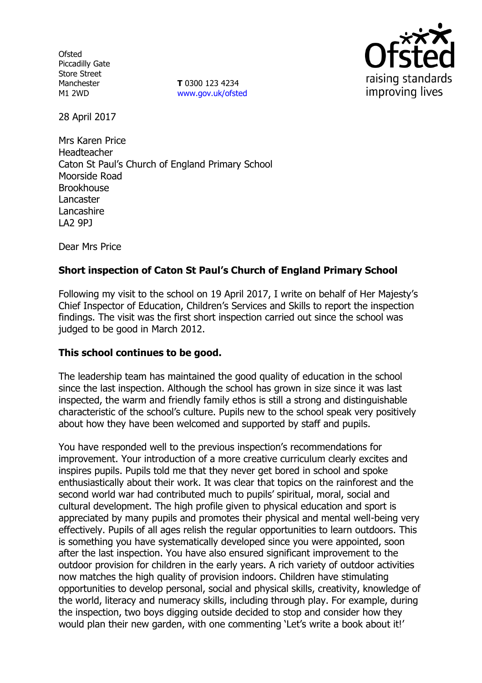**Ofsted** Piccadilly Gate Store Street Manchester M1 2WD

**T** 0300 123 4234 www.gov.uk/ofsted



28 April 2017

Mrs Karen Price Headteacher Caton St Paul's Church of England Primary School Moorside Road **Brookhouse** Lancaster **Lancashire** LA2 9PJ

Dear Mrs Price

# **Short inspection of Caton St Paul's Church of England Primary School**

Following my visit to the school on 19 April 2017, I write on behalf of Her Majesty's Chief Inspector of Education, Children's Services and Skills to report the inspection findings. The visit was the first short inspection carried out since the school was judged to be good in March 2012.

## **This school continues to be good.**

The leadership team has maintained the good quality of education in the school since the last inspection. Although the school has grown in size since it was last inspected, the warm and friendly family ethos is still a strong and distinguishable characteristic of the school's culture. Pupils new to the school speak very positively about how they have been welcomed and supported by staff and pupils.

You have responded well to the previous inspection's recommendations for improvement. Your introduction of a more creative curriculum clearly excites and inspires pupils. Pupils told me that they never get bored in school and spoke enthusiastically about their work. It was clear that topics on the rainforest and the second world war had contributed much to pupils' spiritual, moral, social and cultural development. The high profile given to physical education and sport is appreciated by many pupils and promotes their physical and mental well-being very effectively. Pupils of all ages relish the regular opportunities to learn outdoors. This is something you have systematically developed since you were appointed, soon after the last inspection. You have also ensured significant improvement to the outdoor provision for children in the early years. A rich variety of outdoor activities now matches the high quality of provision indoors. Children have stimulating opportunities to develop personal, social and physical skills, creativity, knowledge of the world, literacy and numeracy skills, including through play. For example, during the inspection, two boys digging outside decided to stop and consider how they would plan their new garden, with one commenting 'Let's write a book about it!'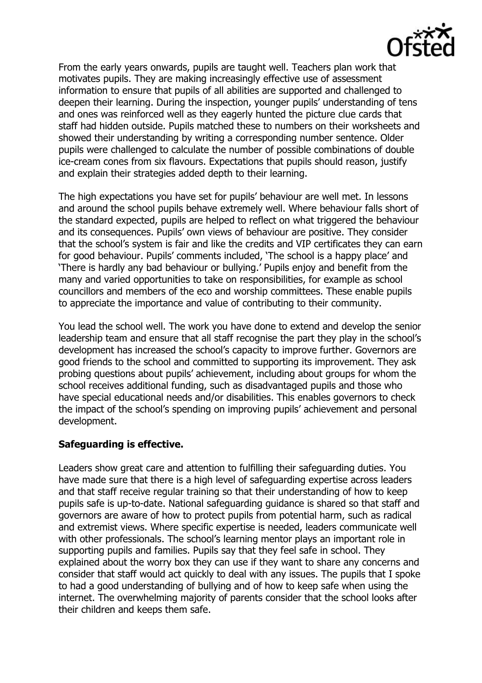

From the early years onwards, pupils are taught well. Teachers plan work that motivates pupils. They are making increasingly effective use of assessment information to ensure that pupils of all abilities are supported and challenged to deepen their learning. During the inspection, younger pupils' understanding of tens and ones was reinforced well as they eagerly hunted the picture clue cards that staff had hidden outside. Pupils matched these to numbers on their worksheets and showed their understanding by writing a corresponding number sentence. Older pupils were challenged to calculate the number of possible combinations of double ice-cream cones from six flavours. Expectations that pupils should reason, justify and explain their strategies added depth to their learning.

The high expectations you have set for pupils' behaviour are well met. In lessons and around the school pupils behave extremely well. Where behaviour falls short of the standard expected, pupils are helped to reflect on what triggered the behaviour and its consequences. Pupils' own views of behaviour are positive. They consider that the school's system is fair and like the credits and VIP certificates they can earn for good behaviour. Pupils' comments included, 'The school is a happy place' and 'There is hardly any bad behaviour or bullying.' Pupils enjoy and benefit from the many and varied opportunities to take on responsibilities, for example as school councillors and members of the eco and worship committees. These enable pupils to appreciate the importance and value of contributing to their community.

You lead the school well. The work you have done to extend and develop the senior leadership team and ensure that all staff recognise the part they play in the school's development has increased the school's capacity to improve further. Governors are good friends to the school and committed to supporting its improvement. They ask probing questions about pupils' achievement, including about groups for whom the school receives additional funding, such as disadvantaged pupils and those who have special educational needs and/or disabilities. This enables governors to check the impact of the school's spending on improving pupils' achievement and personal development.

## **Safeguarding is effective.**

Leaders show great care and attention to fulfilling their safeguarding duties. You have made sure that there is a high level of safeguarding expertise across leaders and that staff receive regular training so that their understanding of how to keep pupils safe is up-to-date. National safeguarding guidance is shared so that staff and governors are aware of how to protect pupils from potential harm, such as radical and extremist views. Where specific expertise is needed, leaders communicate well with other professionals. The school's learning mentor plays an important role in supporting pupils and families. Pupils say that they feel safe in school. They explained about the worry box they can use if they want to share any concerns and consider that staff would act quickly to deal with any issues. The pupils that I spoke to had a good understanding of bullying and of how to keep safe when using the internet. The overwhelming majority of parents consider that the school looks after their children and keeps them safe.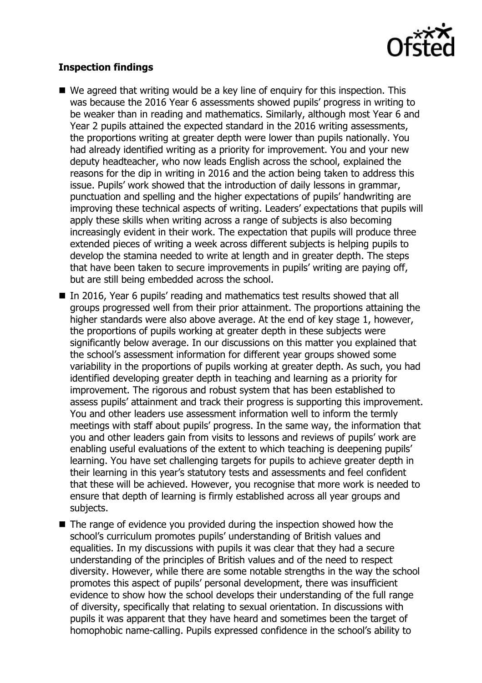

## **Inspection findings**

- We agreed that writing would be a key line of enguiry for this inspection. This was because the 2016 Year 6 assessments showed pupils' progress in writing to be weaker than in reading and mathematics. Similarly, although most Year 6 and Year 2 pupils attained the expected standard in the 2016 writing assessments, the proportions writing at greater depth were lower than pupils nationally. You had already identified writing as a priority for improvement. You and your new deputy headteacher, who now leads English across the school, explained the reasons for the dip in writing in 2016 and the action being taken to address this issue. Pupils' work showed that the introduction of daily lessons in grammar, punctuation and spelling and the higher expectations of pupils' handwriting are improving these technical aspects of writing. Leaders' expectations that pupils will apply these skills when writing across a range of subjects is also becoming increasingly evident in their work. The expectation that pupils will produce three extended pieces of writing a week across different subjects is helping pupils to develop the stamina needed to write at length and in greater depth. The steps that have been taken to secure improvements in pupils' writing are paying off, but are still being embedded across the school.
- In 2016, Year 6 pupils' reading and mathematics test results showed that all groups progressed well from their prior attainment. The proportions attaining the higher standards were also above average. At the end of key stage 1, however, the proportions of pupils working at greater depth in these subjects were significantly below average. In our discussions on this matter you explained that the school's assessment information for different year groups showed some variability in the proportions of pupils working at greater depth. As such, you had identified developing greater depth in teaching and learning as a priority for improvement. The rigorous and robust system that has been established to assess pupils' attainment and track their progress is supporting this improvement. You and other leaders use assessment information well to inform the termly meetings with staff about pupils' progress. In the same way, the information that you and other leaders gain from visits to lessons and reviews of pupils' work are enabling useful evaluations of the extent to which teaching is deepening pupils' learning. You have set challenging targets for pupils to achieve greater depth in their learning in this year's statutory tests and assessments and feel confident that these will be achieved. However, you recognise that more work is needed to ensure that depth of learning is firmly established across all year groups and subjects.
- $\blacksquare$  The range of evidence you provided during the inspection showed how the school's curriculum promotes pupils' understanding of British values and equalities. In my discussions with pupils it was clear that they had a secure understanding of the principles of British values and of the need to respect diversity. However, while there are some notable strengths in the way the school promotes this aspect of pupils' personal development, there was insufficient evidence to show how the school develops their understanding of the full range of diversity, specifically that relating to sexual orientation. In discussions with pupils it was apparent that they have heard and sometimes been the target of homophobic name-calling. Pupils expressed confidence in the school's ability to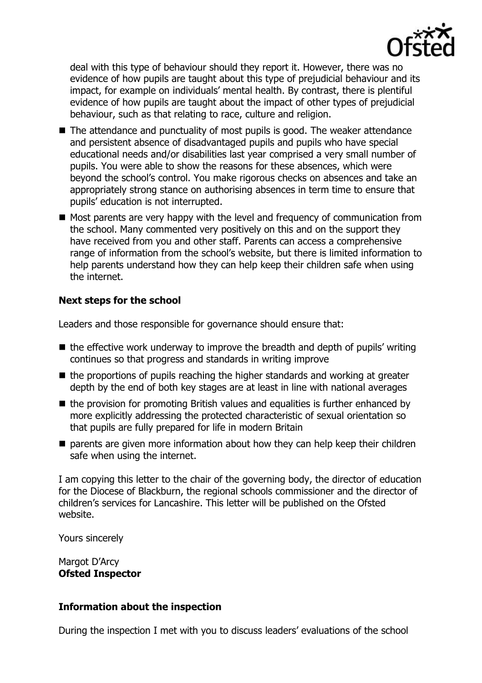

deal with this type of behaviour should they report it. However, there was no evidence of how pupils are taught about this type of prejudicial behaviour and its impact, for example on individuals' mental health. By contrast, there is plentiful evidence of how pupils are taught about the impact of other types of prejudicial behaviour, such as that relating to race, culture and religion.

- The attendance and punctuality of most pupils is good. The weaker attendance and persistent absence of disadvantaged pupils and pupils who have special educational needs and/or disabilities last year comprised a very small number of pupils. You were able to show the reasons for these absences, which were beyond the school's control. You make rigorous checks on absences and take an appropriately strong stance on authorising absences in term time to ensure that pupils' education is not interrupted.
- $\blacksquare$  Most parents are very happy with the level and frequency of communication from the school. Many commented very positively on this and on the support they have received from you and other staff. Parents can access a comprehensive range of information from the school's website, but there is limited information to help parents understand how they can help keep their children safe when using the internet.

# **Next steps for the school**

Leaders and those responsible for governance should ensure that:

- $\blacksquare$  the effective work underway to improve the breadth and depth of pupils' writing continues so that progress and standards in writing improve
- $\blacksquare$  the proportions of pupils reaching the higher standards and working at greater depth by the end of both key stages are at least in line with national averages
- $\blacksquare$  the provision for promoting British values and equalities is further enhanced by more explicitly addressing the protected characteristic of sexual orientation so that pupils are fully prepared for life in modern Britain
- $\blacksquare$  parents are given more information about how they can help keep their children safe when using the internet.

I am copying this letter to the chair of the governing body, the director of education for the Diocese of Blackburn, the regional schools commissioner and the director of children's services for Lancashire. This letter will be published on the Ofsted website.

Yours sincerely

Margot D'Arcy **Ofsted Inspector**

## **Information about the inspection**

During the inspection I met with you to discuss leaders' evaluations of the school